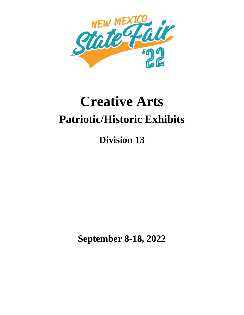

# **Creative Arts Patriotic/Historic Exhibits**

**Division 13**

**September 8-18, 2022**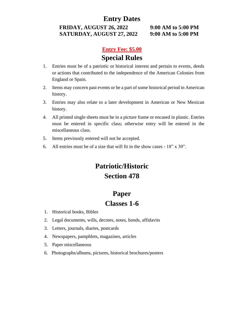#### **Entry Dates**

**FRIDAY, AUGUST 26, 2022 9:00 AM to 5:00 PM SATURDAY, AUGUST 27, 2022 9:00 AM to 5:00 PM**

#### **Entry Fee: \$5.00**

## **Special Rules**

- 1. Entries must be of a patriotic or historical interest and pertain to events, deeds or actions that contributed to the independence of the American Colonies from England or Spain.
- 2. Items may concern past events or be a part of some historical period in American history.
- 3. Entries may also relate to a later development in American or New Mexican history.
- 4. All printed single sheets must be in a picture frame or encased in plastic. Entries must be entered in specific class; otherwise entry will be entered in the miscellaneous class.
- 5. Items previously entered will not be accepted.
- 6. All entries must be of a size that will fit in the show cases 18" x 30".

# **Patriotic/Historic Section 478**

## **Paper Classes 1-6**

- 1. Historical books, Bibles
- 2. Legal documents, wills, decrees, notes, bonds, affidavits
- 3. Letters, journals, diaries, postcards
- 4. Newspapers, pamphlets, magazines, articles
- 5. Paper miscellaneous
- 6. Photographs/albums, pictures, historical brochures/posters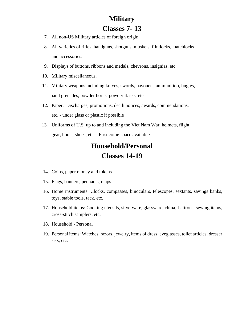## **Military Classes 7- 13**

- 7. All non-US Military articles of foreign origin.
- 8. All varieties of rifles, handguns, shotguns, muskets, flintlocks, matchlocks and accessories.
- 9. Displays of buttons, ribbons and medals, chevrons, insignias, etc.
- 10. Military miscellaneous.
- 11. Military weapons including knives, swords, bayonets, ammunition, bugles, hand grenades, powder horns, powder flasks, etc.
- 12. Paper: Discharges, promotions, death notices, awards, commendations, etc. - under glass or plastic if possible
- 13. Uniforms of U.S. up to and including the Viet Nam War, helmets, flight gear, boots, shoes, etc. - First come-space available

## **Household/Personal Classes 14-19**

- 14. Coins, paper money and tokens
- 15. Flags, banners, pennants, maps
- 16. Home instruments: Clocks, compasses, binoculars, telescopes, sextants, savings banks, toys, stable tools, tack, etc.
- 17. Household items: Cooking utensils, silverware, glassware, china, flatirons, sewing items, cross-stitch samplers, etc.
- 18. Household Personal
- 19. Personal items: Watches, razors, jewelry, items of dress, eyeglasses, toilet articles, dresser sets, etc.